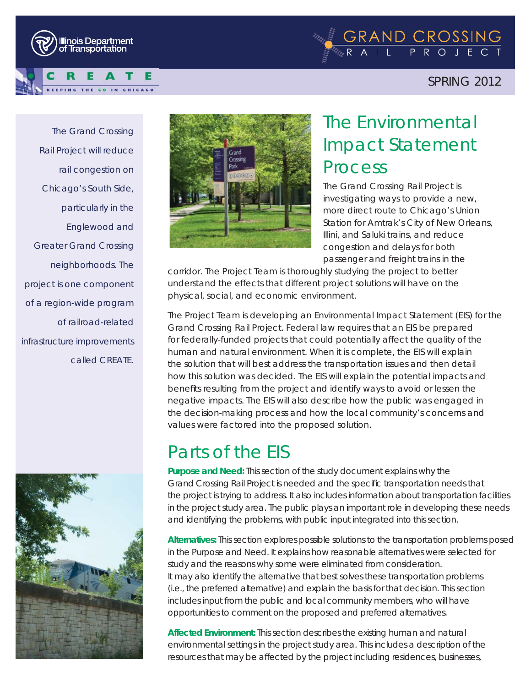



### SPRING 2012

*The Grand Crossing Rail Project will reduce rail congestion on Chicago's South Side, particularly in the Englewood and Greater Grand Crossing neighborhoods. The project is one component of a region-wide program of railroad-related infrastructure improvements called CREATE.*





# The Environmental Impact Statement Process

The Grand Crossing Rail Project is investigating ways to provide a new, more direct route to Chicago's Union Station for Amtrak's City of New Orleans, Illini, and Saluki trains, and reduce congestion and delays for both passenger and freight trains in the

corridor. The Project Team is thoroughly studying the project to better understand the effects that different project solutions will have on the physical, social, and economic environment.

The Project Team is developing an Environmental Impact Statement (EIS) for the Grand Crossing Rail Project. Federal law requires that an EIS be prepared for federally-funded projects that could potentially affect the quality of the human and natural environment. When it is complete, the EIS will explain the solution that will best address the transportation issues and then detail how this solution was decided. The EIS will explain the potential impacts and benefits resulting from the project and identify ways to avoid or lessen the negative impacts. The EIS will also describe how the public was engaged in the decision-making process and how the local community's concerns and values were factored into the proposed solution.

## Parts of the EIS

**Purpose and Need:** This section of the study document explains why the Grand Crossing Rail Project is needed and the specific transportation needs that the project is trying to address. It also includes information about transportation facilities in the project study area. The public plays an important role in developing these needs and identifying the problems, with public input integrated into this section.

**Alternatives:** This section explores possible solutions to the transportation problems posed in the Purpose and Need. It explains how reasonable alternatives were selected for study and the reasons why some were eliminated from consideration. It may also identify the alternative that best solves these transportation problems (i.e., the preferred alternative) and explain the basis for that decision. This section includes input from the public and local community members, who will have opportunities to comment on the proposed and preferred alternatives.

**Affected Environment:** This section describes the existing human and natural environmental settings in the project study area. This includes a description of the resources that may be affected by the project including residences, businesses,